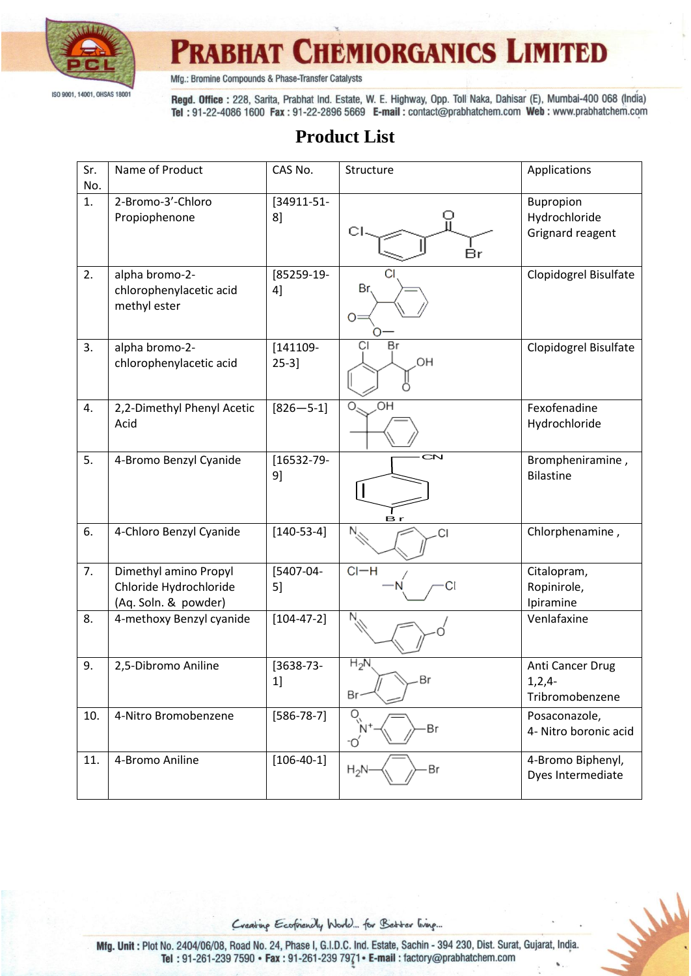

Mfg.: Bromine Compounds & Phase-Transfer Catalysts

Regd. Office: 228, Sarita, Prabhat Ind. Estate, W. E. Highway, Opp. Toll Naka, Dahisar (E), Mumbai-400 068 (India) Tel: 91-22-4086 1600 Fax: 91-22-2896 5669 E-mail: contact@prabhatchem.com Web: www.prabhatchem.com

#### **Product List**

| Sr.<br>No. | Name of Product                                                         | CAS No.                 | Structure                 | Applications                                    |
|------------|-------------------------------------------------------------------------|-------------------------|---------------------------|-------------------------------------------------|
| 1.         | 2-Bromo-3'-Chloro<br>Propiophenone                                      | [34911-51-<br>8         | Br                        | Bupropion<br>Hydrochloride<br>Grignard reagent  |
| 2.         | alpha bromo-2-<br>chlorophenylacetic acid<br>methyl ester               | [85259-19-<br>4]        | Br<br>$O=$                | Clopidogrel Bisulfate                           |
| 3.         | alpha bromo-2-<br>chlorophenylacetic acid                               | $[141109 -$<br>$25-3$ ] | Br<br>CI<br>HO,           | Clopidogrel Bisulfate                           |
| 4.         | 2,2-Dimethyl Phenyl Acetic<br>Acid                                      | $[826 - 5-1]$           | $\overline{C}$<br>$\circ$ | Fexofenadine<br>Hydrochloride                   |
| 5.         | 4-Bromo Benzyl Cyanide                                                  | $[16532 - 79 -$<br>9]   | <b>CN</b><br>B            | Brompheniramine,<br><b>Bilastine</b>            |
| 6.         | 4-Chloro Benzyl Cyanide                                                 | $[140-53-4]$            | CI                        | Chlorphenamine,                                 |
| 7.         | Dimethyl amino Propyl<br>Chloride Hydrochloride<br>(Aq. Soln. & powder) | [5407-04-<br>5          | $Cl-H$                    | Citalopram,<br>Ropinirole,<br>Ipiramine         |
| 8.         | 4-methoxy Benzyl cyanide                                                | $[104 - 47 - 2]$        |                           | Venlafaxine                                     |
| 9.         | 2,5-Dibromo Aniline                                                     | [3638-73-<br>1]         | $H_2N$<br>Br              | Anti Cancer Drug<br>$1,2,4-$<br>Tribromobenzene |
| 10.        | 4-Nitro Bromobenzene                                                    | $[586 - 78 - 7]$        | Br<br>°O                  | Posaconazole,<br>4- Nitro boronic acid          |
| 11.        | 4-Bromo Aniline                                                         | $[106-40-1]$            | Br<br>$H_2N$              | 4-Bromo Biphenyl,<br>Dyes Intermediate          |



Mald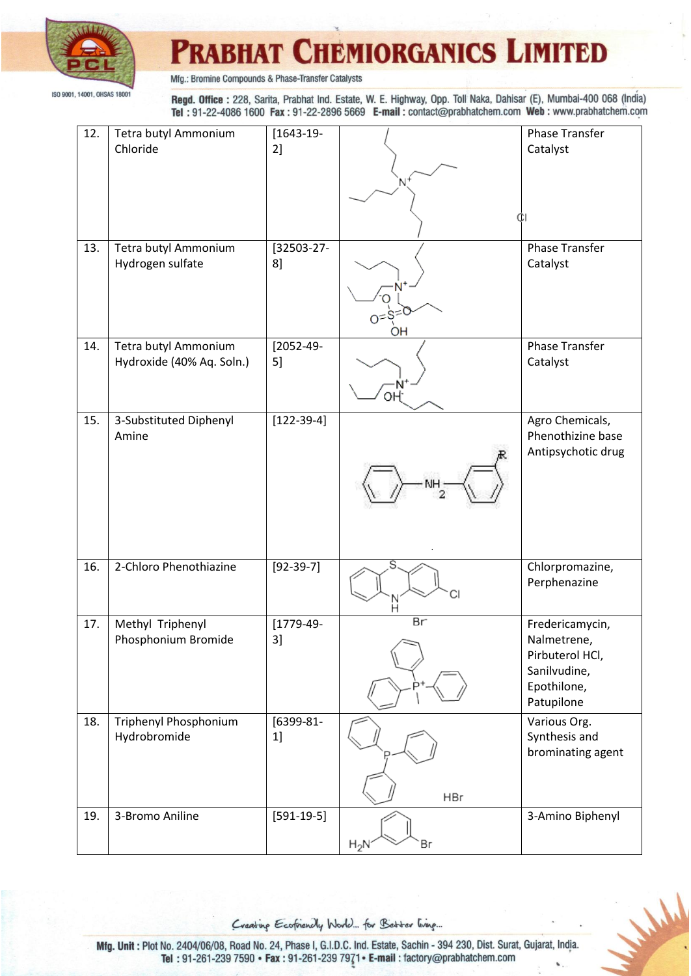

Mfg.: Bromine Compounds & Phase-Transfer Catalysts

Regd. Office: 228, Sarita, Prabhat Ind. Estate, W. E. Highway, Opp. Toll Naka, Dahisar (E), Mumbai-400 068 (India) Tel: 91-22-4086 1600 Fax: 91-22-2896 5669 E-mail: contact@prabhatchem.com Web: www.prabhatchem.com

| 12. | Tetra butyl Ammonium<br>Chloride                  | $[1643-19-$<br>2]    |              | <b>Phase Transfer</b><br>Catalyst    |
|-----|---------------------------------------------------|----------------------|--------------|--------------------------------------|
|     |                                                   |                      |              |                                      |
|     |                                                   |                      | 'N           |                                      |
|     |                                                   |                      |              |                                      |
| 13. | Tetra butyl Ammonium<br>Hydrogen sulfate          | [32503-27-<br>8      |              | <b>Phase Transfer</b><br>Catalyst    |
|     |                                                   |                      |              |                                      |
|     |                                                   |                      | $0 = S^{-}$  |                                      |
|     |                                                   |                      | OH           |                                      |
| 14. | Tetra butyl Ammonium<br>Hydroxide (40% Aq. Soln.) | $[2052 - 49 -$<br>5] |              | <b>Phase Transfer</b><br>Catalyst    |
|     |                                                   |                      | n<br>-N      |                                      |
| 15. | 3-Substituted Diphenyl<br>Amine                   | $[122-39-4]$         |              | Agro Chemicals,<br>Phenothizine base |
|     |                                                   |                      |              | Antipsychotic drug                   |
|     |                                                   |                      | NΗ           |                                      |
|     |                                                   |                      |              |                                      |
|     |                                                   |                      |              |                                      |
| 16. | 2-Chloro Phenothiazine                            | $[92-39-7]$          | S            | Chlorpromazine,                      |
|     |                                                   |                      | СI           | Perphenazine                         |
| 17. | Methyl Triphenyl<br>Phosphonium Bromide           | $[1779-49-$<br>3]    | Br           | Fredericamycin,<br>Nalmetrene,       |
|     |                                                   |                      |              | Pirbuterol HCl,                      |
|     |                                                   |                      |              | Sanilvudine,<br>Epothilone,          |
| 18. | Triphenyl Phosphonium                             | [6399-81-            |              | Patupilone<br>Various Org.           |
|     | Hydrobromide                                      | 1]                   |              | Synthesis and                        |
|     |                                                   |                      |              | brominating agent                    |
|     |                                                   |                      | <b>HBr</b>   |                                      |
| 19. | 3-Bromo Aniline                                   | $[591-19-5]$         |              | 3-Amino Biphenyl                     |
|     |                                                   |                      | Br<br>$H_2N$ |                                      |

Creating Ecofriencly World... for Better living...

Mald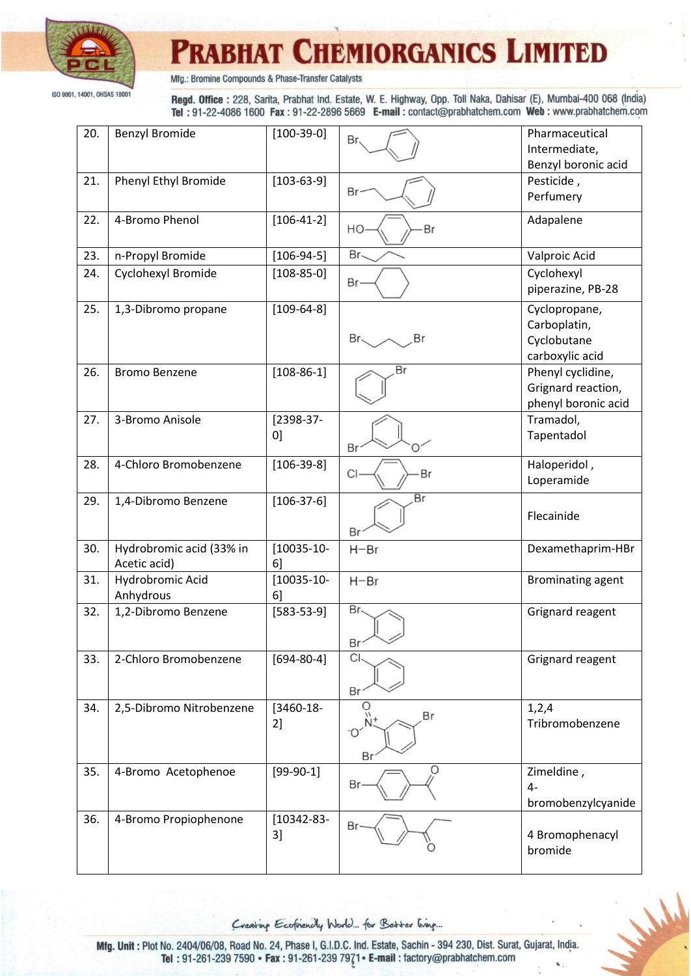

Mfg.: Bromine Compounds & Phase-Transfer Catalysts

Regd. Office: 228, Sarita, Prabhat Ind. Estate, W. E. Highway, Opp. Toll Naka, Dahisar (E), Mumbai-400 068 (India) Tel: 91-22-4086 1600 Fax: 91-22-2896 5669 E-mail: contact@prabhatchem.com Web: www.prabhatchem.com

| 20. | <b>Benzyl Bromide</b>                    | $[100-39-0]$          | Br                   | Pharmaceutical<br>Intermediate,<br>Benzyl boronic acid          |
|-----|------------------------------------------|-----------------------|----------------------|-----------------------------------------------------------------|
| 21. | Phenyl Ethyl Bromide                     | $[103-63-9]$          | Br                   | Pesticide,<br>Perfumery                                         |
| 22. | 4-Bromo Phenol                           | $[106-41-2]$          | Br<br>HO             | Adapalene                                                       |
| 23. | n-Propyl Bromide                         | $[106-94-5]$          | Br-                  | Valproic Acid                                                   |
| 24. | Cyclohexyl Bromide                       | $[108 - 85 - 0]$      | Br-                  | Cyclohexyl<br>piperazine, PB-28                                 |
| 25. | 1,3-Dibromo propane                      | $[109 - 64 - 8]$      | Br<<br>Br            | Cyclopropane,<br>Carboplatin,<br>Cyclobutane<br>carboxylic acid |
| 26. | <b>Bromo Benzene</b>                     | $[108-86-1]$          | Вr                   | Phenyl cyclidine,<br>Grignard reaction,<br>phenyl boronic acid  |
| 27. | 3-Bromo Anisole                          | [2398-37-<br>0]       | Br                   | Tramadol,<br>Tapentadol                                         |
| 28. | 4-Chloro Bromobenzene                    | $[106-39-8]$          | Br<br>CI             | Haloperidol,<br>Loperamide                                      |
| 29. | 1,4-Dibromo Benzene                      | $[106-37-6]$          | Br<br>Br             | Flecainide                                                      |
| 30. | Hydrobromic acid (33% in<br>Acetic acid) | $[10035-10-$<br>6]    | $H - Br$             | Dexamethaprim-HBr                                               |
| 31. | Hydrobromic Acid<br>Anhydrous            | $[10035-10-$<br>6     | $H - Br$             | <b>Brominating agent</b>                                        |
| 32. | 1,2-Dibromo Benzene                      | $[583 - 53 - 9]$      | Br.<br>Br            | Grignard reagent                                                |
| 33. | 2-Chloro Bromobenzene                    | $[694-80-4]$          | <b>CI</b><br>Br      | Grignard reagent                                                |
| 34. | 2,5-Dibromo Nitrobenzene                 | $[3460-18-$<br>2]     | O<br>Br<br>-Oʻ<br>Br | 1,2,4<br>Tribromobenzene                                        |
| 35. | 4-Bromo Acetophenoe                      | $[99-90-1]$           | O<br>Br              | Zimeldine,<br>$4-$<br>bromobenzylcyanide                        |
| 36. | 4-Bromo Propiophenone                    | $[10342 - 83 -$<br>3] | Вr                   | 4 Bromophenacyl<br>bromide                                      |

Creating Ecofriencly World... for Better living...

Mald

Mfg. Unit : Plot No. 2404/06/08, Road No. 24, Phase I, G.I.D.C. Ind. Estate, Sachin - 394 230, Dist. Surat, Gujarat, India. Tel: 91-261-239 7590 • Fax: 91-261-239 7971 • E-mail: factory@prabhatchem.com v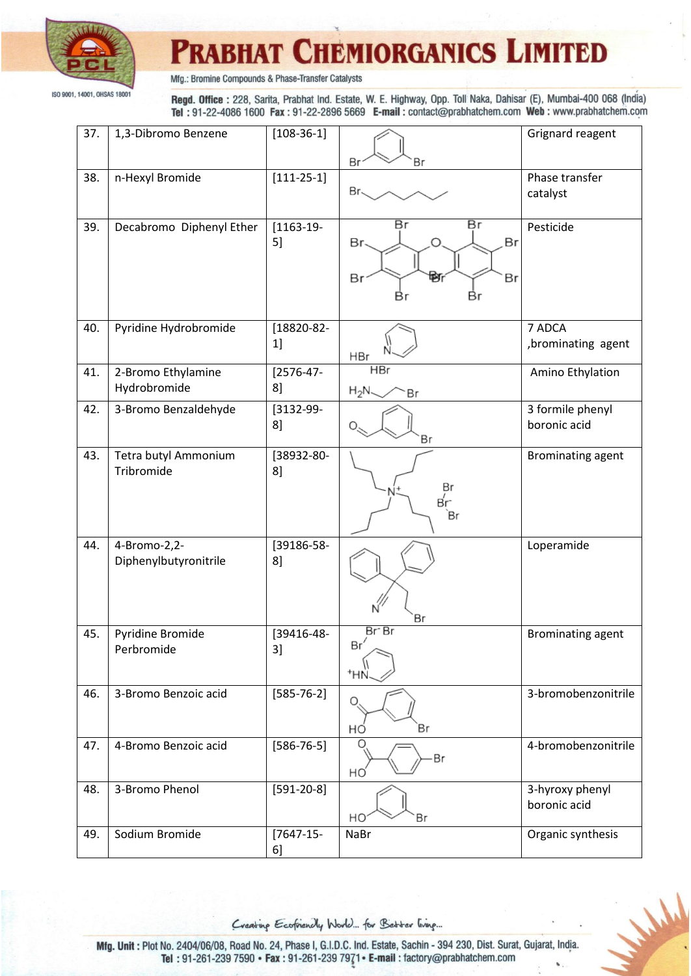

Mfg.: Bromine Compounds & Phase-Transfer Catalysts

Regd. Office: 228, Sarita, Prabhat Ind. Estate, W. E. Highway, Opp. Toll Naka, Dahisar (E), Mumbai-400 068 (India) Tel: 91-22-4086 1600 Fax: 91-22-2896 5669 E-mail: contact@prabhatchem.com Web: www.prabhatchem.com

| 37. | 1,3-Dibromo Benzene                   | $[108-36-1]$      | Br<br>Вr                                            | Grignard reagent                 |
|-----|---------------------------------------|-------------------|-----------------------------------------------------|----------------------------------|
| 38. | n-Hexyl Bromide                       | $[111-25-1]$      | Br.                                                 | Phase transfer<br>catalyst       |
| 39. | Decabromo Diphenyl Ether              | $[1163-19-$<br>5] | Br<br>Br<br>Br.<br>Br<br>Br<br>₩f<br>Вr<br>Вr<br>Вr | Pesticide                        |
| 40. | Pyridine Hydrobromide                 | [18820-82-<br>1]  | <b>HBr</b>                                          | 7 ADCA<br>,brominating agent     |
| 41. | 2-Bromo Ethylamine<br>Hydrobromide    | $[2576-47-$<br>8  | <b>HBr</b><br>$H_2N$<br>Br                          | Amino Ethylation                 |
| 42. | 3-Bromo Benzaldehyde                  | [3132-99-<br>8]   | Br                                                  | 3 formile phenyl<br>boronic acid |
| 43. | Tetra butyl Ammonium<br>Tribromide    | [38932-80-<br>8   | Вr<br>вŗ-<br>`Br                                    | <b>Brominating agent</b>         |
| 44. | 4-Bromo-2,2-<br>Diphenylbutyronitrile | [39186-58-<br>8   | Br                                                  | Loperamide                       |
| 45. | Pyridine Bromide<br>Perbromide        | [39416-48-<br>3]  | Br Br<br>Br<br><sup>+</sup> HN                      | <b>Brominating agent</b>         |
| 46. | 3-Bromo Benzoic acid                  | $[585 - 76 - 2]$  | Br<br>HÓ                                            | 3-bromobenzonitrile              |
| 47. | 4-Bromo Benzoic acid                  | $[586 - 76 - 5]$  | Br<br>НO                                            | 4-bromobenzonitrile              |
| 48. | 3-Bromo Phenol                        | $[591-20-8]$      | HO<br>Вr                                            | 3-hyroxy phenyl<br>boronic acid  |
| 49. | Sodium Bromide                        | $[7647-15-$<br>6] | <b>NaBr</b>                                         | Organic synthesis                |

Creating Ecofriencly World... for Better living...

Mald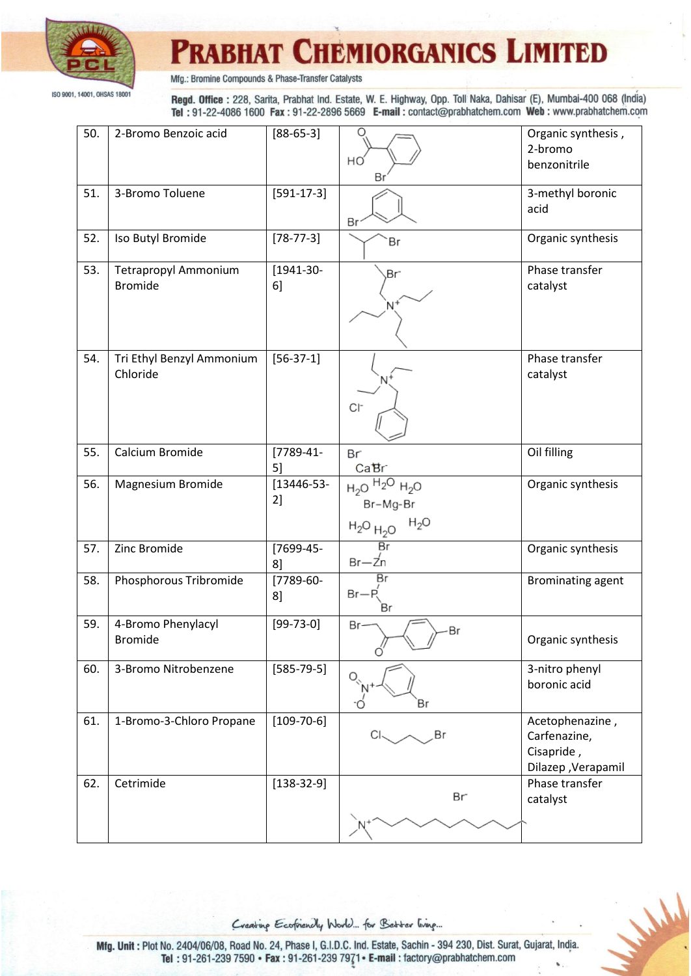

Mfg.: Bromine Compounds & Phase-Transfer Catalysts

Regd. Office: 228, Sarita, Prabhat Ind. Estate, W. E. Highway, Opp. Toll Naka, Dahisar (E), Mumbai-400 068 (India) Tel: 91-22-4086 1600 Fax: 91-22-2896 5669 E-mail: contact@prabhatchem.com Web: www.prabhatchem.com

| 50. | 2-Bromo Benzoic acid                          | $[88-65-3]$        | Ω<br>HO<br>Βı                                               | Organic synthesis,<br>2-bromo<br>benzonitrile                       |
|-----|-----------------------------------------------|--------------------|-------------------------------------------------------------|---------------------------------------------------------------------|
| 51. | 3-Bromo Toluene                               | $[591-17-3]$       | Br                                                          | 3-methyl boronic<br>acid                                            |
| 52. | Iso Butyl Bromide                             | $[78 - 77 - 3]$    | Br                                                          | Organic synthesis                                                   |
| 53. | <b>Tetrapropyl Ammonium</b><br><b>Bromide</b> | $[1941-30-$<br>6]  | Br <sup>-</sup><br>N+                                       | Phase transfer<br>catalyst                                          |
| 54. | Tri Ethyl Benzyl Ammonium<br>Chloride         | $[56-37-1]$        | $Cl-$                                                       | Phase transfer<br>catalyst                                          |
| 55. | Calcium Bromide                               | $[7789-41-$<br>5]  | Br<br>CaBr                                                  | Oil filling                                                         |
| 56. | Magnesium Bromide                             | $[13446-53-$<br>2] | $H_2O$ $H_2O$ $H_2O$<br>Br-Mg-Br<br>$H_2O$<br>$H_2O$ $H_2O$ | Organic synthesis                                                   |
| 57. | Zinc Bromide                                  | [7699-45-<br>8     | Br<br>$Br - Zn$                                             | Organic synthesis                                                   |
| 58. | Phosphorous Tribromide                        | $[7789-60-$<br>8   | Br<br>$Br - R$<br>Br                                        | <b>Brominating agent</b>                                            |
| 59. | 4-Bromo Phenylacyl<br><b>Bromide</b>          | $[99 - 73 - 0]$    | Br-<br>Br<br>ó'                                             | Organic synthesis                                                   |
| 60. | 3-Bromo Nitrobenzene                          | $[585 - 79 - 5]$   | Вr                                                          | 3-nitro phenyl<br>boronic acid                                      |
| 61. | 1-Bromo-3-Chloro Propane                      | $[109 - 70 - 6]$   | Br                                                          | Acetophenazine,<br>Carfenazine,<br>Cisapride,<br>Dilazep, Verapamil |
| 62. | Cetrimide                                     | $[138-32-9]$       | Br <sup>-</sup>                                             | Phase transfer<br>catalyst                                          |

Creating Ecofriencly World... for Better living...

Mald

Mfg. Unit : Plot No. 2404/06/08, Road No. 24, Phase I, G.I.D.C. Ind. Estate, Sachin - 394 230, Dist. Surat, Gujarat, India. Tel: 91-261-239 7590 • Fax: 91-261-239 7971 • E-mail: factory@prabhatchem.com v